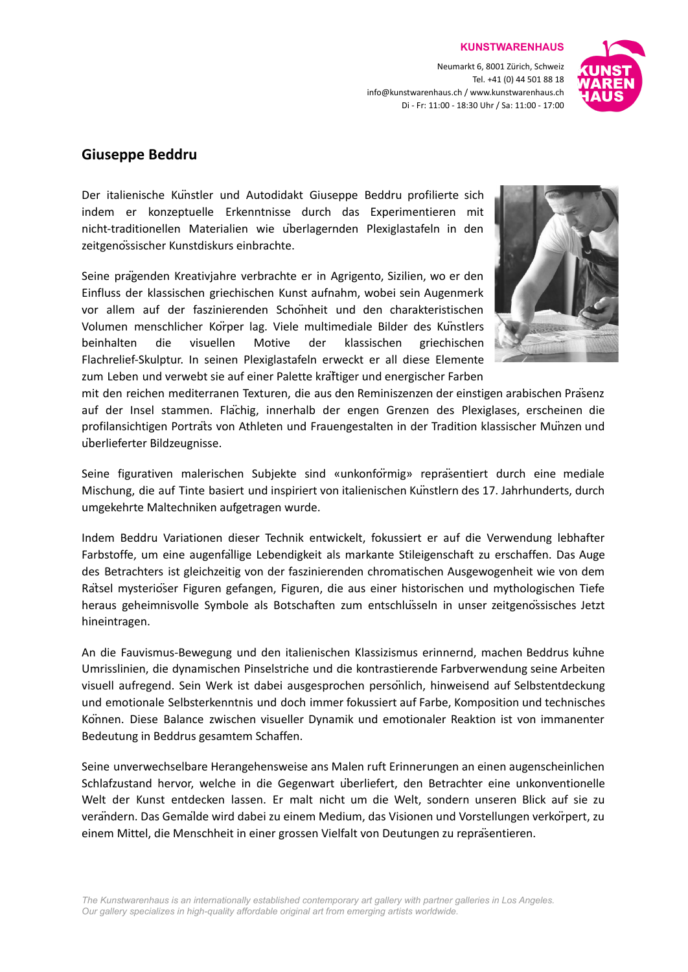Neumarkt 6, 8001 Zürich, Schweiz Tel. +41 (0) 44 501 88 18 info@kunstwarenhaus.ch / www.kunstwarenhaus.ch Di - Fr: 11:00 - 18:30 Uhr / Sa: 11:00 - 17:00

**KUNSTWARENHAUS**



# **Giuseppe Beddru**

Der italienische Künstler und Autodidakt Giuseppe Beddru profilierte sich indem er konzeptuelle Erkenntnisse durch das Experimentieren mit nicht-traditionellen Materialien wie überlagernden Plexiglastafeln in den zeitgenössischer Kunstdiskurs einbrachte.

Seine prägenden Kreativjahre verbrachte er in Agrigento, Sizilien, wo er den Einfluss der klassischen griechischen Kunst aufnahm, wobei sein Augenmerk vor allem auf der faszinierenden Schönheit und den charakteristischen Volumen menschlicher Körper lag. Viele multimediale Bilder des Künstlers beinhalten die visuellen Motive der klassischen griechischen Flachrelief-Skulptur. In seinen Plexiglastafeln erweckt er all diese Elemente zum Leben und verwebt sie auf einer Palette kräftiger und energischer Farben



mit den reichen mediterranen Texturen, die aus den Reminiszenzen der einstigen arabischen Präsenz auf der Insel stammen. Flächig, innerhalb der engen Grenzen des Plexiglases, erscheinen die profilansichtigen Porträts von Athleten und Frauengestalten in der Tradition klassischer Münzen und überlieferter Bildzeugnisse.

Seine figurativen malerischen Subjekte sind «unkonförmig» repräsentiert durch eine mediale Mischung, die auf Tinte basiert und inspiriert von italienischen Künstlern des 17. Jahrhunderts, durch umgekehrte Maltechniken aufgetragen wurde.

Indem Beddru Variationen dieser Technik entwickelt, fokussiert er auf die Verwendung lebhafter Farbstoffe, um eine augenfällige Lebendigkeit als markante Stileigenschaft zu erschaffen. Das Auge des Betrachters ist gleichzeitig von der faszinierenden chromatischen Ausgewogenheit wie von dem Rätsel mysteriöser Figuren gefangen, Figuren, die aus einer historischen und mythologischen Tiefe heraus geheimnisvolle Symbole als Botschaften zum entschlüsseln in unser zeitgenössisches Jetzt hineintragen.

An die Fauvismus-Bewegung und den italienischen Klassizismus erinnernd, machen Beddrus kühne Umrisslinien, die dynamischen Pinselstriche und die kontrastierende Farbverwendung seine Arbeiten visuell aufregend. Sein Werk ist dabei ausgesprochen persönlich, hinweisend auf Selbstentdeckung und emotionale Selbsterkenntnis und doch immer fokussiert auf Farbe, Komposition und technisches Können. Diese Balance zwischen visueller Dynamik und emotionaler Reaktion ist von immanenter Bedeutung in Beddrus gesamtem Schaffen.

Seine unverwechselbare Herangehensweise ans Malen ruft Erinnerungen an einen augenscheinlichen Schlafzustand hervor, welche in die Gegenwart überliefert, den Betrachter eine unkonventionelle Welt der Kunst entdecken lassen. Er malt nicht um die Welt, sondern unseren Blick auf sie zu verändern. Das Gemälde wird dabei zu einem Medium, das Visionen und Vorstellungen verkörpert, zu einem Mittel, die Menschheit in einer grossen Vielfalt von Deutungen zu repräsentieren.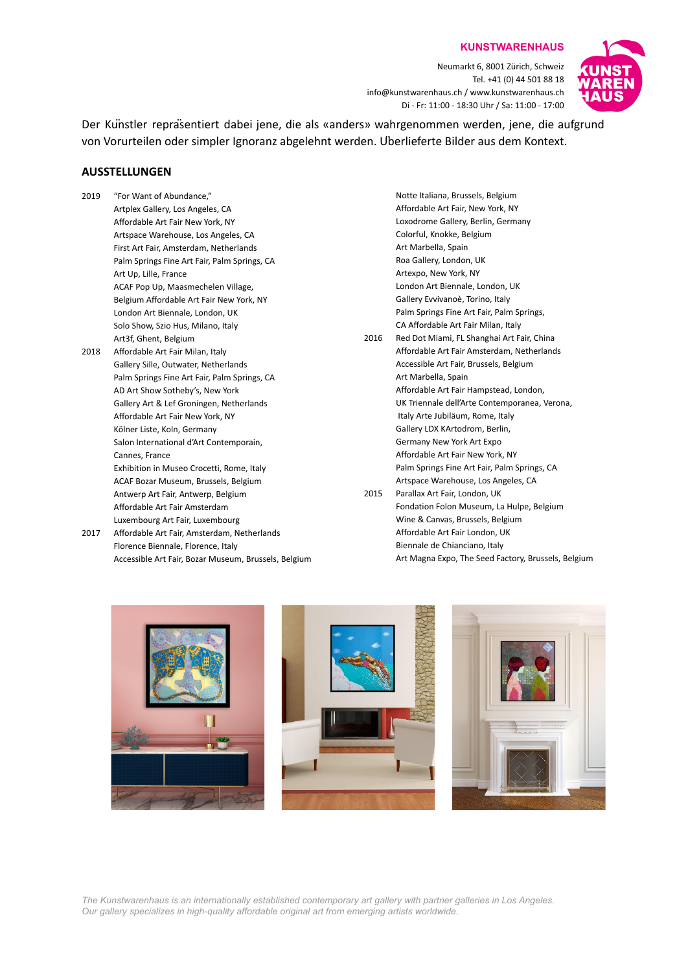**KUNSTWARENHAUS**

Neumarkt 6, 8001 Zürich, Schweiz Tel. +41 (0) 44 501 88 18 info@kunstwarenhaus.ch / www.kunstwarenhaus.ch Di - Fr: 11:00 - 18:30 Uhr / Sa: 11:00 - 17:00



Der Künstler repräsentiert dabei jene, die als «anders» wahrgenommen werden, jene, die aufgrund von Vorurteilen oder simpler Ignoranz abgelehnt werden. Überlieferte Bilder aus dem Kontext.

### **AUSSTELLUNGEN**

- 2019 "For Want of Abundance." Artplex Gallery, Los Angeles, CA Affordable Art Fair New York, NY Artspace Warehouse, Los Angeles, CA First Art Fair, Amsterdam, Netherlands Palm Springs Fine Art Fair, Palm Springs, CA Art Up, Lille, France ACAF Pop Up, Maasmechelen Village, Belgium Affordable Art Fair New York, NY London Art Biennale, London, UK Solo Show, Szio Hus, Milano, Italy Art3f, Ghent, Belgium 2018 Affordable Art Fair Milan, Italy Gallery Sille, Outwater, Netherlands Palm Springs Fine Art Fair, Palm Springs, CA AD Art Show Sotheby's, New York Gallery Art & Lef Groningen, Netherlands Affordable Art Fair New York, NY Kölner Liste, Koln, Germany Salon International d'Art Contemporain, Cannes, France Exhibition in Museo Crocetti, Rome, Italy ACAF Bozar Museum, Brussels, Belgium Antwerp Art Fair, Antwerp, Belgium Affordable Art Fair Amsterdam
- Luxembourg Art Fair, Luxembourg 2017 Affordable Art Fair, Amsterdam, Netherlands Florence Biennale, Florence, Italy Accessible Art Fair, Bozar Museum, Brussels, Belgium
- Notte Italiana, Brussels, Belgium Affordable Art Fair, New York, NY Loxodrome Gallery, Berlin, Germany Colorful, Knokke, Belgium Art Marbella, Spain Roa Gallery, London, UK Artexpo, New York, NY London Art Biennale, London, UK Gallery Evvivanoè, Torino, Italy Palm Springs Fine Art Fair, Palm Springs, CA Affordable Art Fair Milan, Italy 2016 Red Dot Miami, FL Shanghai Art Fair, China Affordable Art Fair Amsterdam, Netherlands Accessible Art Fair, Brussels, Belgium Art Marbella, Spain Affordable Art Fair Hampstead, London, UK Triennale dell'Arte Contemporanea, Verona, Italy Arte Jubiläum, Rome, Italy Gallery LDX KArtodrom, Berlin, Germany New York Art Expo Affordable Art Fair New York, NY Palm Springs Fine Art Fair, Palm Springs, CA Artspace Warehouse, Los Angeles, CA 2015 Parallax Art Fair, London, UK Fondation Folon Museum, La Hulpe, Belgium Wine & Canvas, Brussels, Belgium Affordable Art Fair London, UK Biennale de Chianciano, Italy

Art Magna Expo, The Seed Factory, Brussels, Belgium







*The Kunstwarenhaus is an internationally established contemporary art gallery with partner galleries in Los Angeles. Our gallery specializes in high-quality affordable original art from emerging artists worldwide.*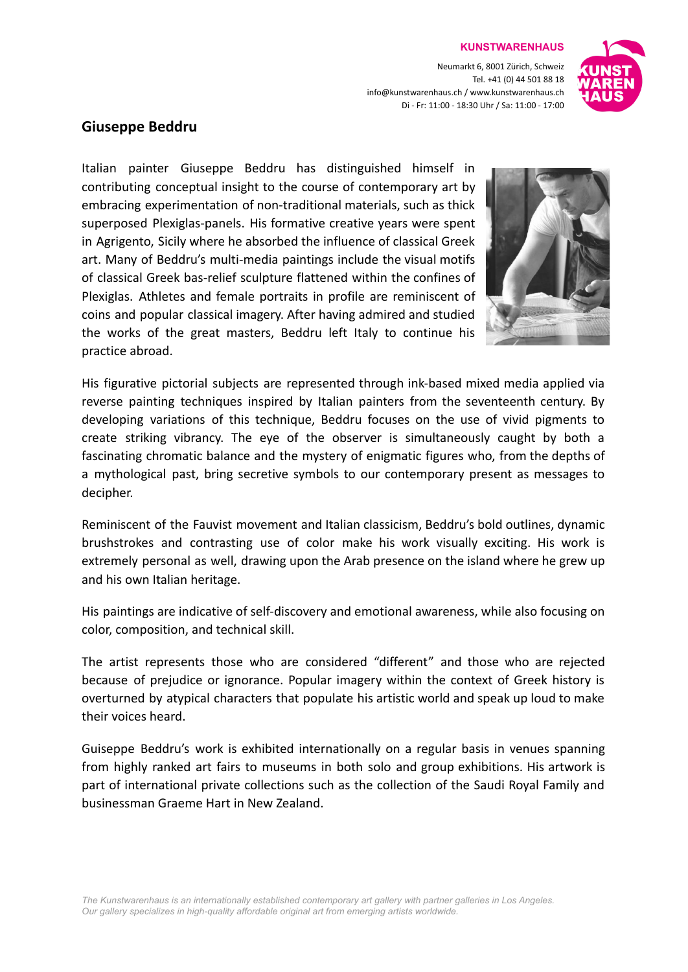#### **KUNSTWARENHAUS**

Neumarkt 6, 8001 Zürich, Schweiz Tel. +41 (0) 44 501 88 18 info@kunstwarenhaus.ch / www.kunstwarenhaus.ch Di - Fr: 11:00 - 18:30 Uhr / Sa: 11:00 - 17:00



# **Giuseppe Beddru**

Italian painter Giuseppe Beddru has distinguished himself in contributing conceptual insight to the course of contemporary art by embracing experimentation of non-traditional materials, such as thick superposed Plexiglas-panels. His formative creative years were spent in Agrigento, Sicily where he absorbed the influence of classical Greek art. Many of Beddru's multi-media paintings include the visual motifs of classical Greek bas-relief sculpture flattened within the confines of Plexiglas. Athletes and female portraits in profile are reminiscent of coins and popular classical imagery. After having admired and studied the works of the great masters, Beddru left Italy to continue his practice abroad.



His figurative pictorial subjects are represented through ink-based mixed media applied via reverse painting techniques inspired by Italian painters from the seventeenth century. By developing variations of this technique, Beddru focuses on the use of vivid pigments to create striking vibrancy. The eye of the observer is simultaneously caught by both a fascinating chromatic balance and the mystery of enigmatic figures who, from the depths of a mythological past, bring secretive symbols to our contemporary present as messages to decipher.

Reminiscent of the Fauvist movement and Italian classicism, Beddru's bold outlines, dynamic brushstrokes and contrasting use of color make his work visually exciting. His work is extremely personal as well, drawing upon the Arab presence on the island where he grew up and his own Italian heritage.

His paintings are indicative of self-discovery and emotional awareness, while also focusing on color, composition, and technical skill.

The artist represents those who are considered "different" and those who are rejected because of prejudice or ignorance. Popular imagery within the context of Greek history is overturned by atypical characters that populate his artistic world and speak up loud to make their voices heard.

Guiseppe Beddru's work is exhibited internationally on a regular basis in venues spanning from highly ranked art fairs to museums in both solo and group exhibitions. His artwork is part of international private collections such as the collection of the Saudi Royal Family and businessman Graeme Hart in New Zealand.